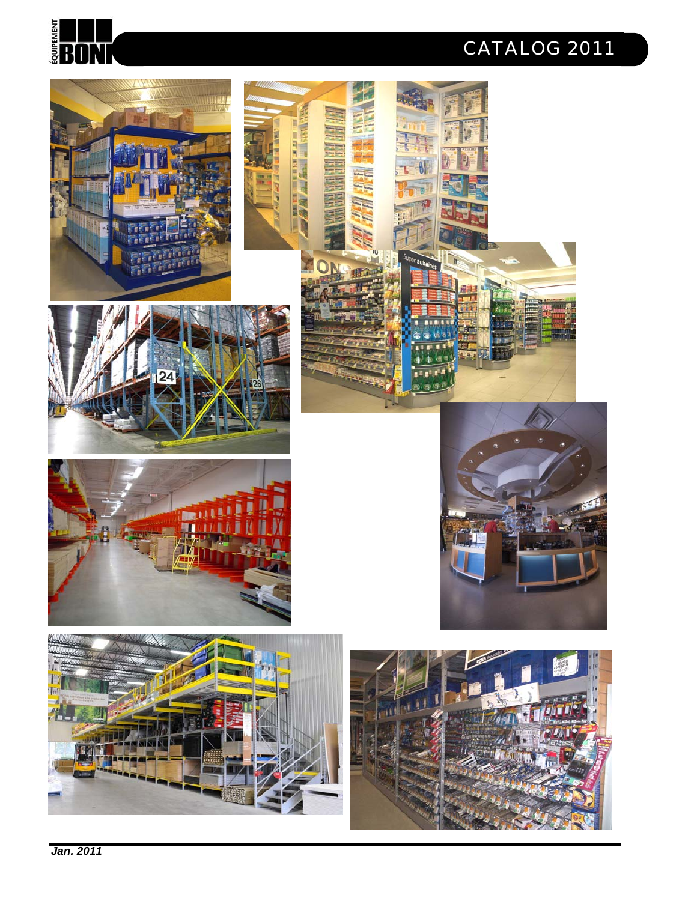

### *CATALOG 2011*

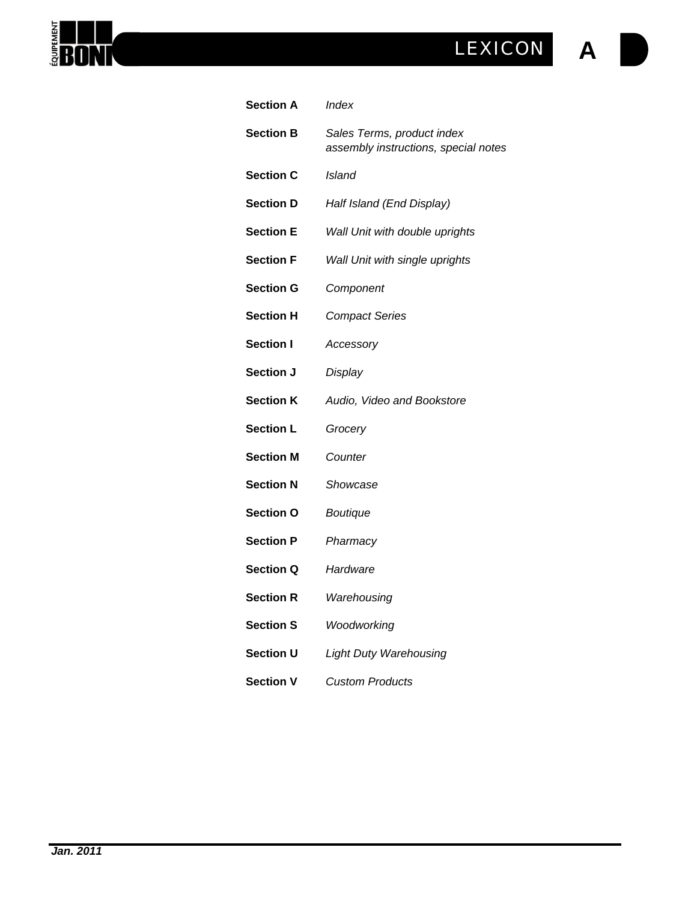### **A** *LEXICON*

| <b>Section A</b> | Index                                                              |
|------------------|--------------------------------------------------------------------|
| <b>Section B</b> | Sales Terms, product index<br>assembly instructions, special notes |
| <b>Section C</b> | Island                                                             |
| <b>Section D</b> | Half Island (End Display)                                          |
| <b>Section E</b> | Wall Unit with double uprights                                     |
| <b>Section F</b> | Wall Unit with single uprights                                     |
| <b>Section G</b> | Component                                                          |
| <b>Section H</b> | <b>Compact Series</b>                                              |
| <b>Section I</b> | Accessory                                                          |
| Section J        | Display                                                            |
| <b>Section K</b> | Audio, Video and Bookstore                                         |
| <b>Section L</b> | Grocery                                                            |
| <b>Section M</b> | Counter                                                            |
| <b>Section N</b> | Showcase                                                           |
| <b>Section O</b> | <b>Boutique</b>                                                    |
| <b>Section P</b> | Pharmacy                                                           |
| <b>Section Q</b> | Hardware                                                           |
| <b>Section R</b> | Warehousing                                                        |
| <b>Section S</b> | Woodworking                                                        |
| Section U        | <b>Light Duty Warehousing</b>                                      |
| <b>Section V</b> | <b>Custom Products</b>                                             |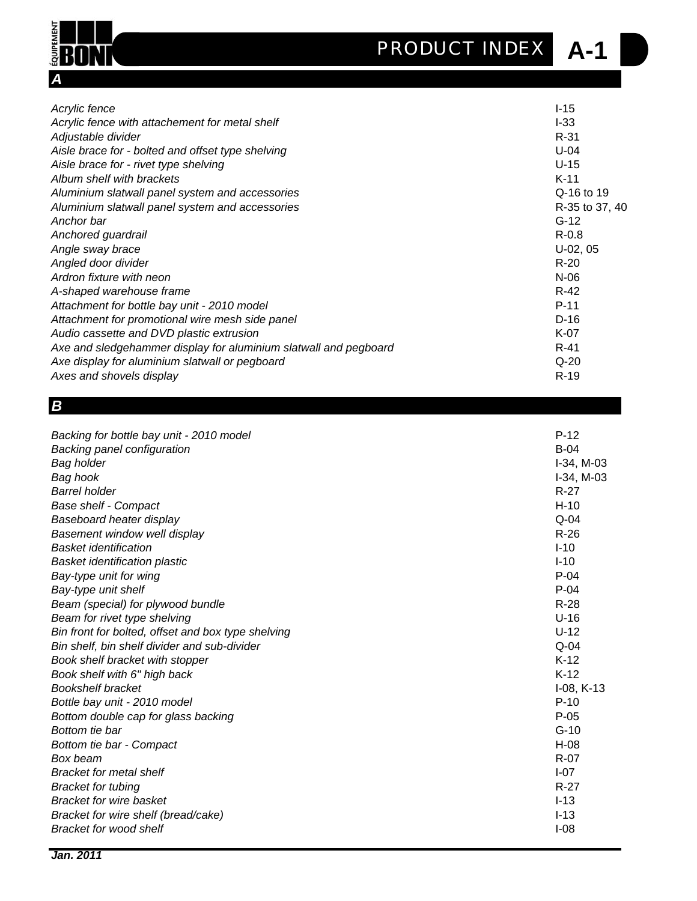**A-1** *PRODUCT INDEX*



| Acrylic fence                                                    | $I-15$         |
|------------------------------------------------------------------|----------------|
| Acrylic fence with attachement for metal shelf                   | $I-33$         |
| Adjustable divider                                               | $R-31$         |
| Aisle brace for - bolted and offset type shelving                | $U-04$         |
| Aisle brace for - rivet type shelving                            | $U-15$         |
| Album shelf with brackets                                        | $K-11$         |
| Aluminium slatwall panel system and accessories                  | Q-16 to 19     |
| Aluminium slatwall panel system and accessories                  | R-35 to 37, 40 |
| Anchor bar                                                       | $G-12$         |
| Anchored guardrail                                               | $R - 0.8$      |
| Angle sway brace                                                 | $U-02, 05$     |
| Angled door divider                                              | $R-20$         |
| Ardron fixture with neon                                         | $N-06$         |
| A-shaped warehouse frame                                         | $R-42$         |
| Attachment for bottle bay unit - 2010 model                      | $P-11$         |
| Attachment for promotional wire mesh side panel                  | $D-16$         |
| Audio cassette and DVD plastic extrusion                         | $K-07$         |
| Axe and sledgehammer display for aluminium slatwall and pegboard | $R-41$         |
| Axe display for aluminium slatwall or pegboard                   | $Q-20$         |
| Axes and shovels display                                         | $R-19$         |

#### *B*

| Backing for bottle bay unit - 2010 model<br>Backing panel configuration<br><b>Bag holder</b><br>Bag hook<br><b>Barrel holder</b><br><b>Base shelf - Compact</b><br>Baseboard heater display<br>Basement window well display<br><b>Basket identification</b><br><b>Basket identification plastic</b><br>Bay-type unit for wing<br>Bay-type unit shelf<br>Beam (special) for plywood bundle<br>Beam for rivet type shelving<br>Bin front for bolted, offset and box type shelving<br>Bin shelf, bin shelf divider and sub-divider<br>Book shelf bracket with stopper<br>Book shelf with 6" high back<br><b>Bookshelf bracket</b><br>Bottle bay unit - 2010 model<br>Bottom double cap for glass backing<br>Bottom tie bar<br>Bottom tie bar - Compact<br>Box beam<br><b>Bracket for metal shelf</b> | $P-12$<br>$B-04$<br>$I-34$ , M $-03$<br>$I-34$ , M $-03$<br>$R-27$<br>$H-10$<br>$Q-04$<br>$R-26$<br>$I-10$<br>$I-10$<br>$P-04$<br>$P-04$<br>$R-28$<br>$U-16$<br>$U-12$<br>$Q-04$<br>$K-12$<br>$K-12$<br>$I-08, K-13$<br>$P-10$<br>$P-05$<br>$G-10$<br>$H-08$<br>$R-07$<br>$I-07$<br>$R-27$ |
|---------------------------------------------------------------------------------------------------------------------------------------------------------------------------------------------------------------------------------------------------------------------------------------------------------------------------------------------------------------------------------------------------------------------------------------------------------------------------------------------------------------------------------------------------------------------------------------------------------------------------------------------------------------------------------------------------------------------------------------------------------------------------------------------------|--------------------------------------------------------------------------------------------------------------------------------------------------------------------------------------------------------------------------------------------------------------------------------------------|
| <b>Bracket for tubing</b><br><b>Bracket for wire basket</b><br>Bracket for wire shelf (bread/cake)<br><b>Bracket for wood shelf</b>                                                                                                                                                                                                                                                                                                                                                                                                                                                                                                                                                                                                                                                               | $I-13$<br>$I-13$<br>$I-08$                                                                                                                                                                                                                                                                 |
|                                                                                                                                                                                                                                                                                                                                                                                                                                                                                                                                                                                                                                                                                                                                                                                                   |                                                                                                                                                                                                                                                                                            |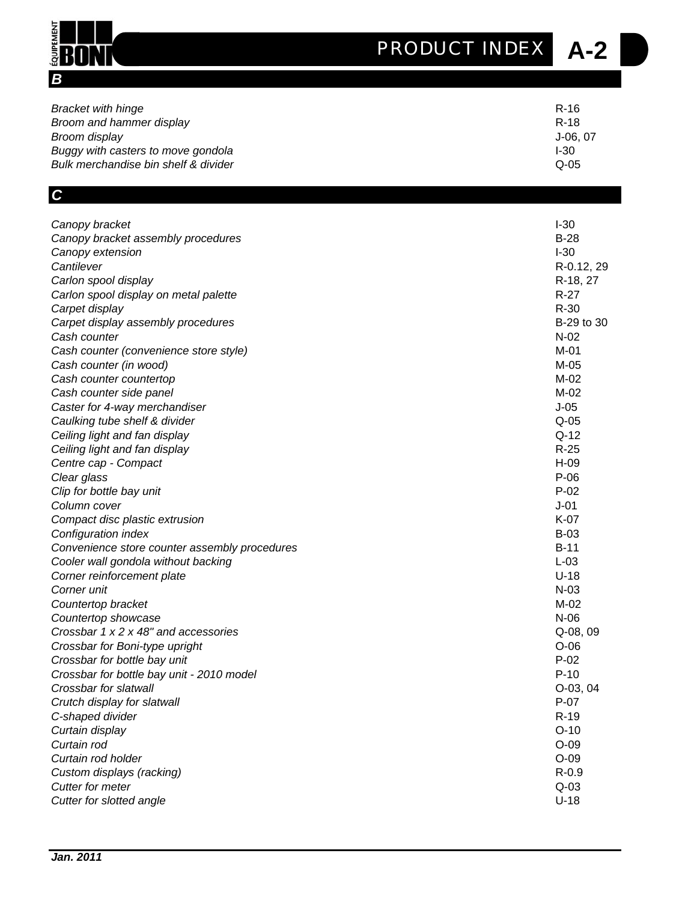### **A-2** *PRODUCT INDEX*

| <b>Bracket with hinge</b>            | R-16     |
|--------------------------------------|----------|
| Broom and hammer display             | R-18     |
| Broom display                        | J-06, 07 |
| Buggy with casters to move gondola   | $1-30$   |
| Bulk merchandise bin shelf & divider | $Q-05$   |

### *C*

*B*

**ÉQUIPEMENT** 

BON

| Canopy bracket                                | $I-30$     |
|-----------------------------------------------|------------|
| Canopy bracket assembly procedures            | $B-28$     |
| Canopy extension                              | $I-30$     |
| Cantilever                                    | R-0.12, 29 |
| Carlon spool display                          | R-18, 27   |
| Carlon spool display on metal palette         | $R-27$     |
| Carpet display                                | $R-30$     |
| Carpet display assembly procedures            | B-29 to 30 |
| Cash counter                                  | $N-02$     |
| Cash counter (convenience store style)        | M-01       |
| Cash counter (in wood)                        | M-05       |
| Cash counter countertop                       | $M-02$     |
| Cash counter side panel                       | M-02       |
| Caster for 4-way merchandiser                 | $J-05$     |
| Caulking tube shelf & divider                 | $Q-05$     |
| Ceiling light and fan display                 | $Q-12$     |
| Ceiling light and fan display                 | $R-25$     |
| Centre cap - Compact                          | $H-09$     |
| Clear glass                                   | $P-06$     |
| Clip for bottle bay unit                      | $P-02$     |
| Column cover                                  | $J-01$     |
| Compact disc plastic extrusion                | K-07       |
| Configuration index                           | $B-03$     |
| Convenience store counter assembly procedures | $B-11$     |
| Cooler wall gondola without backing           | $L-03$     |
| Corner reinforcement plate                    | $U-18$     |
| Corner unit                                   | $N-03$     |
| Countertop bracket                            | $M-02$     |
| Countertop showcase                           | $N-06$     |
| Crossbar 1 x 2 x 48" and accessories          | Q-08, 09   |
| Crossbar for Boni-type upright                | $O-06$     |
| Crossbar for bottle bay unit                  | $P-02$     |
| Crossbar for bottle bay unit - 2010 model     | $P-10$     |
| Crossbar for slatwall                         | $O-03, 04$ |
| Crutch display for slatwall                   | $P-07$     |
| C-shaped divider                              | $R-19$     |
| Curtain display                               | $O-10$     |
| Curtain rod                                   | $O-09$     |
| Curtain rod holder                            | $O-09$     |
| Custom displays (racking)                     | $R-0.9$    |
| <b>Cutter for meter</b>                       | $Q-03$     |
| Cutter for slotted angle                      | $U-18$     |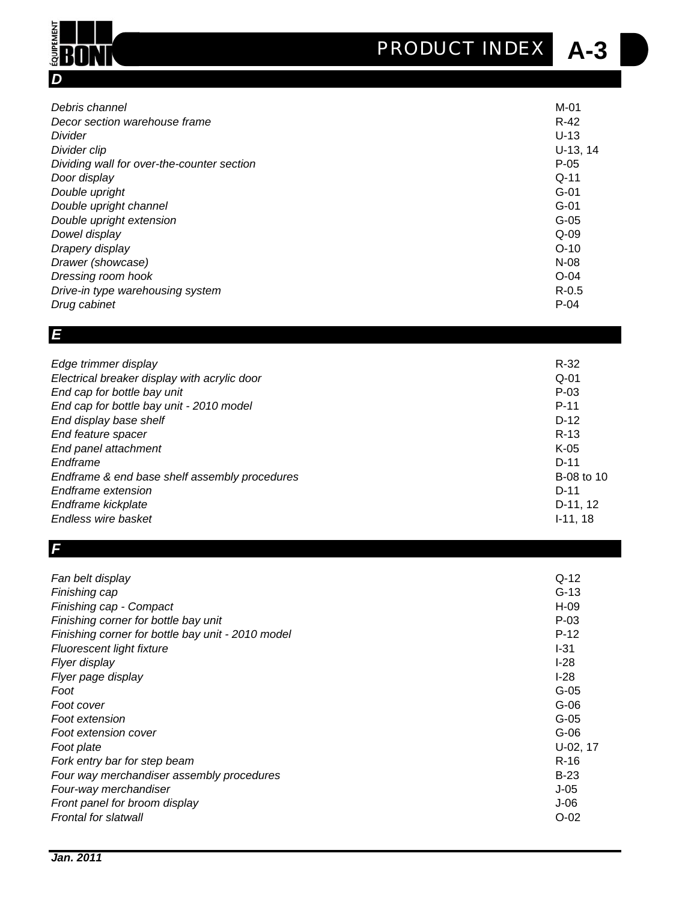**A-3** *PRODUCT INDEX*

| Debris channel                             | $M-01$     |
|--------------------------------------------|------------|
| Decor section warehouse frame              | $R-42$     |
| Divider                                    | $U-13$     |
| Divider clip                               | $U-13, 14$ |
| Dividing wall for over-the-counter section | $P-05$     |
| Door display                               | $Q - 11$   |
| Double upright                             | $G-01$     |
| Double upright channel                     | $G-01$     |
| Double upright extension                   | $G-05$     |
| Dowel display                              | $Q-09$     |
| Drapery display                            | $O-10$     |
| Drawer (showcase)                          | $N-08$     |
| Dressing room hook                         | $O - 04$   |
| Drive-in type warehousing system           | $R-0.5$    |
| Drug cabinet                               | $P-04$     |

#### *E*

*D*

**ÉQUIPEMENT** 

Ш

| Edge trimmer display                          | $R-32$     |
|-----------------------------------------------|------------|
| Electrical breaker display with acrylic door  | $Q-01$     |
| End cap for bottle bay unit                   | $P-03$     |
| End cap for bottle bay unit - 2010 model      | $P-11$     |
| End display base shelf                        | $D-12$     |
| End feature spacer                            | $R-13$     |
| End panel attachment                          | $K-05$     |
| Endframe                                      | $D-11$     |
| Endframe & end base shelf assembly procedures | B-08 to 10 |
| Endframe extension                            | $D-11$     |
| Endframe kickplate                            | D-11, 12   |
| Endless wire basket                           | $I-11, 18$ |

#### *F*

| Fan belt display                                  | $Q-12$     |
|---------------------------------------------------|------------|
| Finishing cap                                     | $G-13$     |
| Finishing cap - Compact                           | $H-09$     |
| Finishing corner for bottle bay unit              | $P-03$     |
| Finishing corner for bottle bay unit - 2010 model | $P-12$     |
| Fluorescent light fixture                         | $I-31$     |
| Flyer display                                     | $I-28$     |
| Flyer page display                                | $I-28$     |
| Foot                                              | $G-05$     |
| Foot cover                                        | $G-06$     |
| Foot extension                                    | $G-05$     |
| Foot extension cover                              | $G-06$     |
| Foot plate                                        | $U-02, 17$ |
| Fork entry bar for step beam                      | $R-16$     |
| Four way merchandiser assembly procedures         | $B-23$     |
| Four-way merchandiser                             | $J-05$     |
| Front panel for broom display                     | $J-06$     |
| Frontal for slatwall                              | $O - 02$   |
|                                                   |            |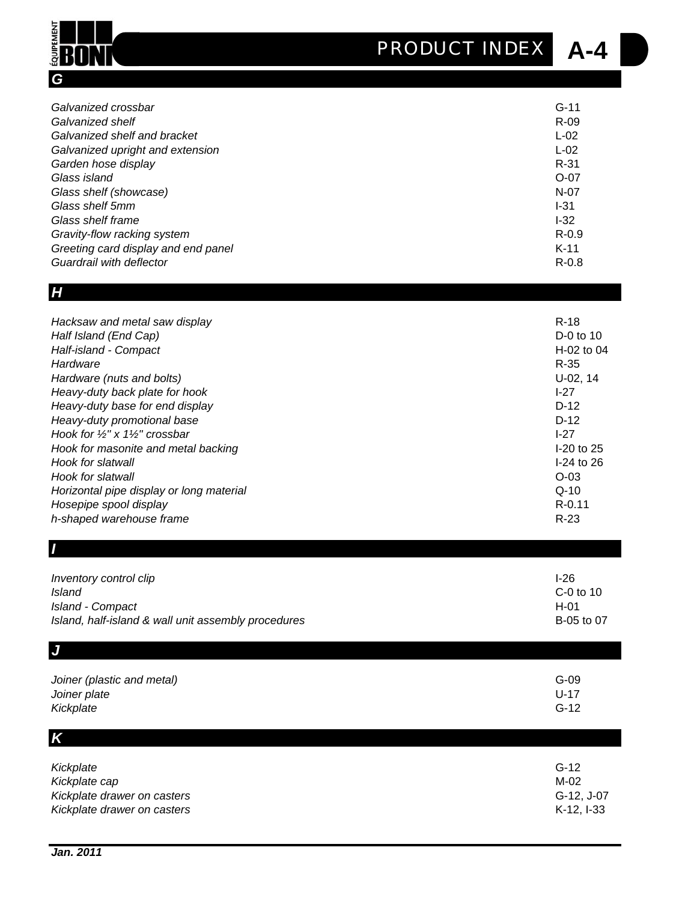## **A-4** *PRODUCT INDEX*

| Galvanized crossbar                 | $G-11$   |
|-------------------------------------|----------|
| Galvanized shelf                    | $R-09$   |
| Galvanized shelf and bracket        | $L-02$   |
| Galvanized upright and extension    | $L-02$   |
| Garden hose display                 | $R - 31$ |
| Glass island                        | $O-07$   |
| Glass shelf (showcase)              | $N-07$   |
| Glass shelf 5mm                     | $I-31$   |
| Glass shelf frame                   | $-32$    |
| Gravity-flow racking system         | $R-0.9$  |
| Greeting card display and end panel | $K-11$   |
| Guardrail with deflector            | $R-0.8$  |

#### *H*

*G*

**ÉQUIPEMENT** 

BON

| Hacksaw and metal saw display                         | $R-18$       |
|-------------------------------------------------------|--------------|
| Half Island (End Cap)                                 | $D-0$ to 10  |
| Half-island - Compact                                 | $H-02$ to 04 |
| Hardware                                              | $R-35$       |
| Hardware (nuts and bolts)                             | $U-02, 14$   |
| Heavy-duty back plate for hook                        | $I-27$       |
| Heavy-duty base for end display                       | $D-12$       |
| Heavy-duty promotional base                           | $D-12$       |
| Hook for $\frac{1}{2}$ " x 1 $\frac{1}{2}$ " crossbar | $1-27$       |
| Hook for masonite and metal backing                   | $I-20$ to 25 |
| Hook for slatwall                                     | $I-24$ to 26 |
| Hook for slatwall                                     | $O$ -03      |
| Horizontal pipe display or long material              | $Q - 10$     |
| Hosepipe spool display                                | $R - 0.11$   |
| h-shaped warehouse frame                              | $R-23$       |
|                                                       |              |

| Inventory control clip                              | $I-26$     |
|-----------------------------------------------------|------------|
| <b>Island</b>                                       | C-0 to 10  |
| Island - Compact                                    | $H-01$     |
| Island, half-island & wall unit assembly procedures | B-05 to 07 |
| $\overline{\mathsf{J}}$                             |            |
| Joiner (plastic and metal)                          | $G-09$     |
| Joiner plate                                        | $U-17$     |
| Kickplate                                           | $G-12$     |
| $\boldsymbol{K}$                                    |            |

| Kickplate                                    | $G-12$             |
|----------------------------------------------|--------------------|
| Kickplate cap<br>Kickplate drawer on casters | M-02<br>G-12, J-07 |
| Kickplate drawer on casters                  | $K-12.1-33$        |

*I*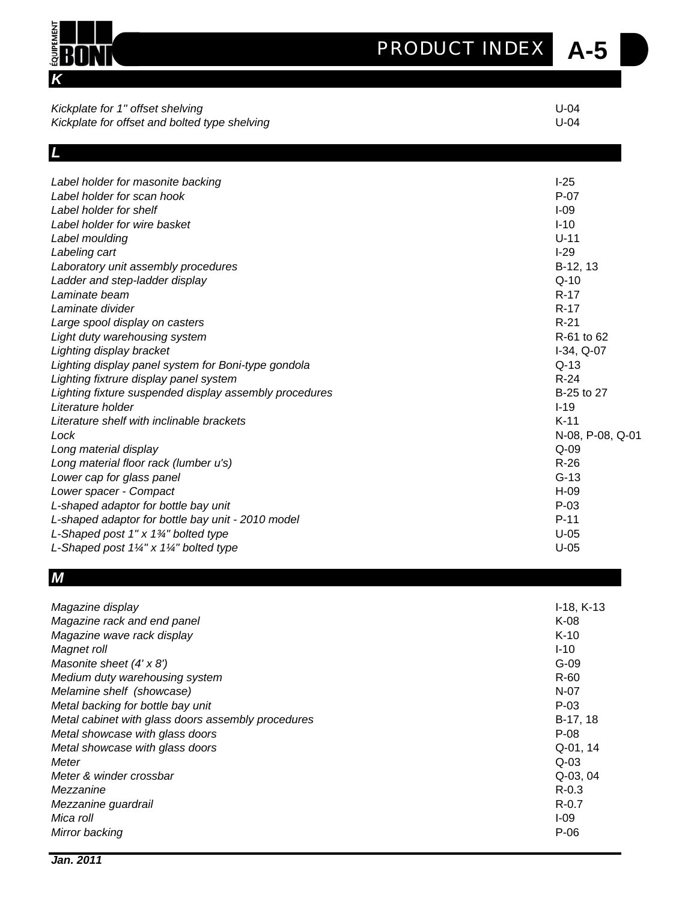| MENT                                                                              | <b>PRODUCT INDEX</b><br>A-5 |  |
|-----------------------------------------------------------------------------------|-----------------------------|--|
|                                                                                   |                             |  |
| Kickplate for 1" offset shelving<br>Kickplate for offset and bolted type shelving | $U-04$<br>$U-04$            |  |
|                                                                                   |                             |  |
|                                                                                   |                             |  |
| Label holder for masonite backing                                                 | $I-25$                      |  |
| Label holder for scan hook                                                        | $P-07$                      |  |
| Label holder for shelf                                                            | $I-09$                      |  |
| Label holder for wire basket                                                      | $I-10$                      |  |
| Label moulding                                                                    | $U-11$                      |  |
| Labeling cart                                                                     | $I-29$                      |  |
| Laboratory unit assembly procedures                                               | B-12, 13                    |  |
| Ladder and step-ladder display                                                    | $Q-10$                      |  |
| Laminate beam                                                                     | R-17                        |  |
| Laminate divider                                                                  | $R-17$                      |  |
| Large spool display on casters                                                    | $R-21$                      |  |
| Light duty warehousing system                                                     | R-61 to 62                  |  |
| Lighting display bracket                                                          | $I-34, Q-07$                |  |
| Lighting display panel system for Boni-type gondola                               | $Q-13$                      |  |
| Lighting fixtrure display panel system                                            | $R-24$                      |  |
| Lighting fixture suspended display assembly procedures                            | B-25 to 27                  |  |
| Literature holder                                                                 | $I-19$                      |  |
| Literature shelf with inclinable brackets                                         | $K-11$                      |  |
| Lock                                                                              | N-08, P-08, Q-01            |  |
| Long material display                                                             | $Q-09$                      |  |
| Long material floor rack (lumber u's)                                             | $R-26$                      |  |
| Lower cap for glass panel                                                         | $G-13$                      |  |
| Lower spacer - Compact                                                            | $H-09$                      |  |
| L-shaped adaptor for bottle bay unit                                              | $P-03$                      |  |
| L-shaped adaptor for bottle bay unit - 2010 model                                 | $P-11$                      |  |
| L-Shaped post $1" \times 1\frac{3}{4"}$ bolted type                               | $U-05$                      |  |
| L-Shaped post $1\frac{1}{4}$ " x $1\frac{1}{4}$ " bolted type                     | $U-05$                      |  |

#### *M*

| Magazine display                                   | $I-18, K-13$ |
|----------------------------------------------------|--------------|
| Magazine rack and end panel                        | K-08         |
| Magazine wave rack display                         | $K-10$       |
| Magnet roll                                        | $I - 10$     |
| Masonite sheet $(4' \times 8')$                    | $G-09$       |
| Medium duty warehousing system                     | R-60         |
| Melamine shelf (showcase)                          | $N-07$       |
| Metal backing for bottle bay unit                  | $P-03$       |
| Metal cabinet with glass doors assembly procedures | B-17, 18     |
| Metal showcase with glass doors                    | $P-08$       |
| Metal showcase with glass doors                    | Q-01, 14     |
| Meter                                              | $Q-03$       |
| Meter & winder crossbar                            | Q-03, 04     |
| Mezzanine                                          | $R - 0.3$    |
| Mezzanine guardrail                                | $R - 0.7$    |
| Mica roll                                          | $I-09$       |
| Mirror backing                                     | P-06         |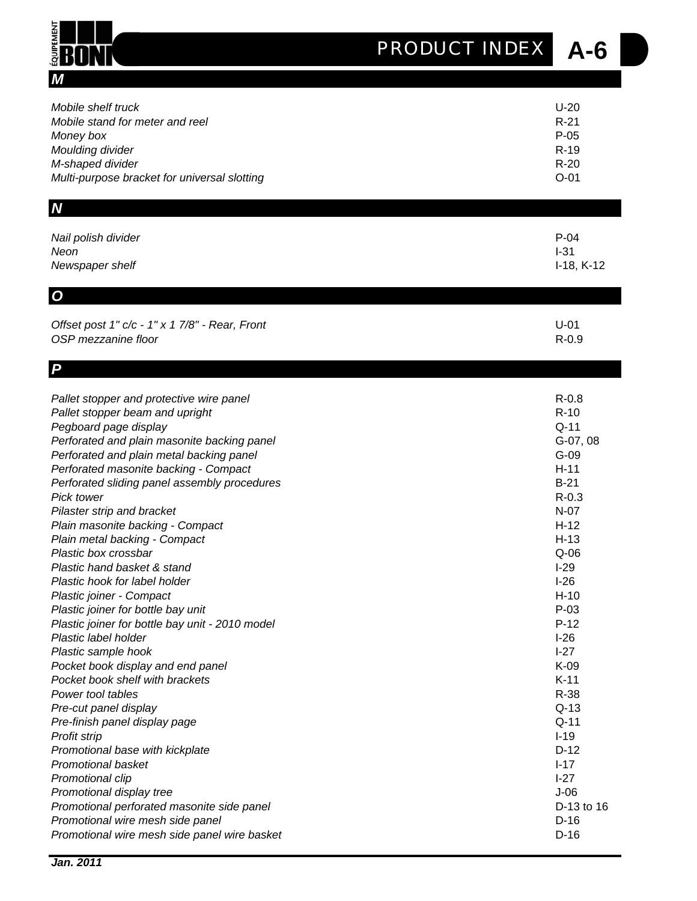## **A-6** *PRODUCT INDEX*

| M                                               |              |
|-------------------------------------------------|--------------|
| Mobile shelf truck                              | $U-20$       |
| Mobile stand for meter and reel                 | $R-21$       |
| Money box                                       | $P-05$       |
| Moulding divider                                | $R-19$       |
| M-shaped divider                                | $R-20$       |
| Multi-purpose bracket for universal slotting    | $O-01$       |
| N                                               |              |
| Nail polish divider                             | $P-04$       |
| Neon                                            | $I-31$       |
| Newspaper shelf                                 | $I-18, K-12$ |
| $\boldsymbol{\omega}$                           |              |
| Offset post 1" c/c - 1" x 1 7/8" - Rear, Front  | $U-01$       |
| OSP mezzanine floor                             | $R - 0.9$    |
| P                                               |              |
| Pallet stopper and protective wire panel        | $R-0.8$      |
| Pallet stopper beam and upright                 | $R-10$       |
| Pegboard page display                           | $Q-11$       |
| Perforated and plain masonite backing panel     | G-07, 08     |
| Perforated and plain metal backing panel        | $G-09$       |
| Perforated masonite backing - Compact           | $H-11$       |
| Perforated sliding panel assembly procedures    | $B-21$       |
| <b>Pick tower</b>                               | $R - 0.3$    |
| Pilaster strip and bracket                      | $N-07$       |
| Plain masonite backing - Compact                | $H-12$       |
| Plain metal backing - Compact                   | $H-13$       |
| Plastic box crossbar                            | $Q-06$       |
| Plastic hand basket & stand                     | $I-29$       |
| Plastic hook for label holder                   | $I-26$       |
| Plastic joiner - Compact                        | $H-10$       |
| Plastic joiner for bottle bay unit              | $P-03$       |
| Plastic joiner for bottle bay unit - 2010 model | $P-12$       |
| Plastic label holder                            | $I-26$       |
| Plastic sample hook                             | $I-27$       |
| Pocket book display and end panel               | K-09         |
| Pocket book shelf with brackets                 | $K-11$       |
| Power tool tables                               | R-38         |
| Pre-cut panel display                           | $Q-13$       |
| Pre-finish panel display page                   | $Q-11$       |

**Profit strip** I-19 **Promotional base with kickplate** D-12 **Promotional basket** I-17 **Promotional clip** I-27 **Promotional display tree** J-06 *Promotional perforated masonite side panel* D-13 to 16 **Promotional wire mesh side panel** D-16 **Promotional wire mesh side panel wire basket** D-16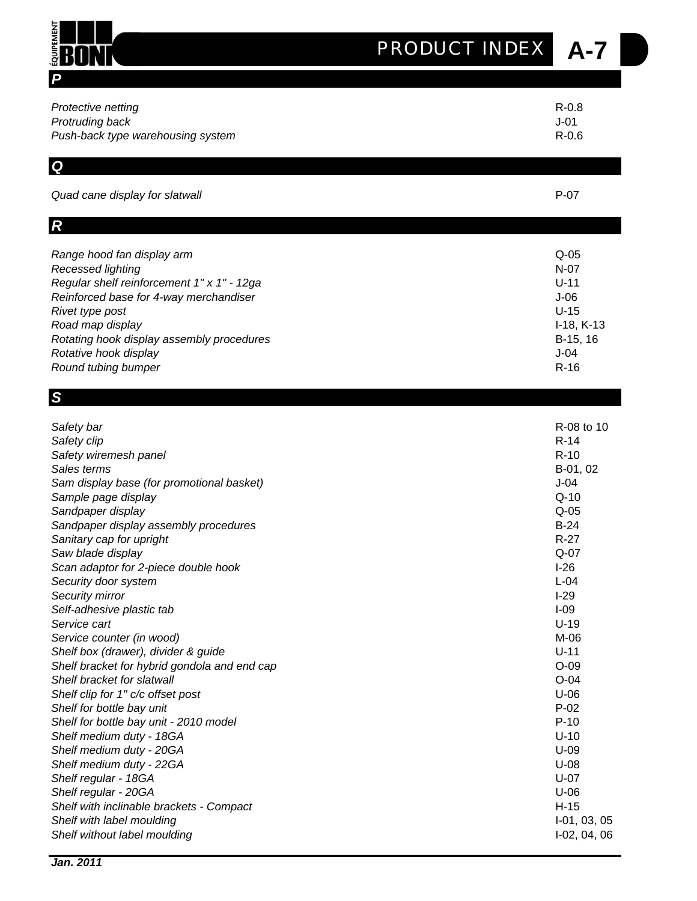# **A-7** *PRODUCT INDEX*

| Protective netting                           | $R - 0.8$      |
|----------------------------------------------|----------------|
| Protruding back                              | $J-01$         |
| Push-back type warehousing system            | $R-0.6$        |
| Q<br>Quad cane display for slatwall          | $P-07$         |
| $\boldsymbol{R}$                             |                |
| Range hood fan display arm                   | $Q-05$         |
| Recessed lighting                            | $N-07$         |
| Regular shelf reinforcement 1" x 1" - 12ga   | $U-11$         |
| Reinforced base for 4-way merchandiser       | $J-06$         |
| Rivet type post                              | $U-15$         |
| Road map display                             | $I-18, K-13$   |
| Rotating hook display assembly procedures    | B-15, 16       |
| Rotative hook display                        | $J-04$         |
| Round tubing bumper                          | $R-16$         |
| S                                            |                |
| Safety bar                                   | R-08 to 10     |
| Safety clip                                  | $R-14$         |
| Safety wiremesh panel                        | $R-10$         |
| Sales terms                                  | B-01, 02       |
| Sam display base (for promotional basket)    | $J-04$         |
| Sample page display                          | $Q-10$         |
| Sandpaper display                            | $Q-05$         |
| Sandpaper display assembly procedures        | $B-24$         |
| Sanitary cap for upright                     | $R-27$         |
| Saw blade display                            | $Q-07$         |
| Scan adaptor for 2-piece double hook         | $I-26$         |
| Security door system                         | $L-04$         |
| Security mirror                              | $I-29$         |
| Self-adhesive plastic tab                    | $I-09$         |
| Service cart                                 | $U-19$         |
| Service counter (in wood)                    | M-06           |
| Shelf box (drawer), divider & guide          | $U-11$         |
| Shelf bracket for hybrid gondola and end cap | $O-09$         |
| Shelf bracket for slatwall                   | $O-04$         |
| Shelf clip for 1" c/c offset post            | $U-06$         |
| Shelf for bottle bay unit                    | $P-02$         |
| Shelf for bottle bay unit - 2010 model       | $P-10$         |
| Shelf medium duty - 18GA                     | $U-10$         |
| Shelf medium duty - 20GA                     | $U-09$         |
| Shelf medium duty - 22GA                     | $U-08$         |
| Shelf regular - 18GA                         | $U-07$         |
| Shelf regular - 20GA                         | $U-06$         |
| Shelf with inclinable brackets - Compact     | $H-15$         |
| Shelf with label moulding                    | I-01, 03, 05   |
| Shelf without label moulding                 | $I-02, 04, 06$ |

*P*

E **HILL**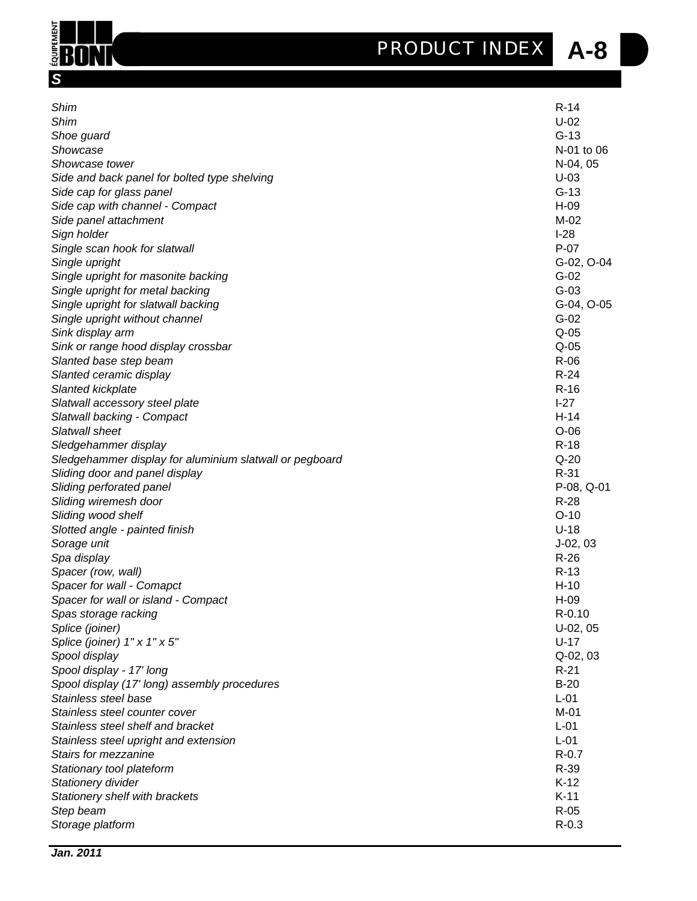

D



| Shim<br>Shim<br>Shoe guard<br>Showcase<br>Showcase tower<br>Side and back panel for bolted type shelving<br>Side cap for glass panel<br>Side cap with channel - Compact<br>Side panel attachment<br>Sign holder<br>Single scan hook for slatwall<br>Single upright<br>Single upright for masonite backing<br>Single upright for metal backing<br>Single upright for slatwall backing<br>Single upright without channel<br>Sink display arm<br>Sink or range hood display crossbar<br>Slanted base step beam<br>Slanted ceramic display<br>Slanted kickplate<br>Slatwall accessory steel plate<br>Slatwall backing - Compact<br>Slatwall sheet<br>Sledgehammer display<br>Sledgehammer display for aluminium slatwall or pegboard<br>Sliding door and panel display<br>Sliding perforated panel<br>Sliding wiremesh door<br>Sliding wood shelf<br>Slotted angle - painted finish<br>Sorage unit<br>Spa display<br>Spacer (row, wall)<br>Spacer for wall - Comapct<br>Spacer for wall or island - Compact<br>Spas storage racking<br>Splice (joiner)<br>Splice (joiner) 1" x 1" x 5"<br>Spool display<br>Spool display - 17' long<br>Spool display (17' long) assembly procedures<br>Stainless steel base<br>Stainless steel counter cover | $R-14$<br>$U-02$<br>$G-13$<br>N-01 to 06<br>N-04, 05<br>$U-03$<br>$G-13$<br>H-09<br>$M-02$<br>$I-28$<br>$P-07$<br>G-02, O-04<br>$G-02$<br>$G-03$<br>G-04, O-05<br>$G-02$<br>$Q-05$<br>$Q-05$<br>$R-06$<br>$R-24$<br>$R-16$<br>$I-27$<br>$H-14$<br>$O-06$<br>$R-18$<br>$Q-20$<br>$R-31$<br>$P-08, Q-01$<br>$R-28$<br>$O-10$<br>$U-18$<br>$J-02, 03$<br>$R-26$<br>$R-13$<br>$H-10$<br>H-09<br>R-0.10<br>U-02, 05<br>$U-17$<br>Q-02, 03<br>$R-21$<br>$B-20$<br>$L-01$<br>$M-01$ |
|------------------------------------------------------------------------------------------------------------------------------------------------------------------------------------------------------------------------------------------------------------------------------------------------------------------------------------------------------------------------------------------------------------------------------------------------------------------------------------------------------------------------------------------------------------------------------------------------------------------------------------------------------------------------------------------------------------------------------------------------------------------------------------------------------------------------------------------------------------------------------------------------------------------------------------------------------------------------------------------------------------------------------------------------------------------------------------------------------------------------------------------------------------------------------------------------------------------------------------------|------------------------------------------------------------------------------------------------------------------------------------------------------------------------------------------------------------------------------------------------------------------------------------------------------------------------------------------------------------------------------------------------------------------------------------------------------------------------------|
|                                                                                                                                                                                                                                                                                                                                                                                                                                                                                                                                                                                                                                                                                                                                                                                                                                                                                                                                                                                                                                                                                                                                                                                                                                          |                                                                                                                                                                                                                                                                                                                                                                                                                                                                              |
|                                                                                                                                                                                                                                                                                                                                                                                                                                                                                                                                                                                                                                                                                                                                                                                                                                                                                                                                                                                                                                                                                                                                                                                                                                          |                                                                                                                                                                                                                                                                                                                                                                                                                                                                              |
| Stainless steel shelf and bracket                                                                                                                                                                                                                                                                                                                                                                                                                                                                                                                                                                                                                                                                                                                                                                                                                                                                                                                                                                                                                                                                                                                                                                                                        | $L-01$                                                                                                                                                                                                                                                                                                                                                                                                                                                                       |
| Stainless steel upright and extension                                                                                                                                                                                                                                                                                                                                                                                                                                                                                                                                                                                                                                                                                                                                                                                                                                                                                                                                                                                                                                                                                                                                                                                                    | $L-01$                                                                                                                                                                                                                                                                                                                                                                                                                                                                       |
| Stairs for mezzanine                                                                                                                                                                                                                                                                                                                                                                                                                                                                                                                                                                                                                                                                                                                                                                                                                                                                                                                                                                                                                                                                                                                                                                                                                     | $R - 0.7$                                                                                                                                                                                                                                                                                                                                                                                                                                                                    |
| Stationary tool plateform                                                                                                                                                                                                                                                                                                                                                                                                                                                                                                                                                                                                                                                                                                                                                                                                                                                                                                                                                                                                                                                                                                                                                                                                                | $R-39$                                                                                                                                                                                                                                                                                                                                                                                                                                                                       |
| Stationery divider                                                                                                                                                                                                                                                                                                                                                                                                                                                                                                                                                                                                                                                                                                                                                                                                                                                                                                                                                                                                                                                                                                                                                                                                                       | $K-12$                                                                                                                                                                                                                                                                                                                                                                                                                                                                       |
|                                                                                                                                                                                                                                                                                                                                                                                                                                                                                                                                                                                                                                                                                                                                                                                                                                                                                                                                                                                                                                                                                                                                                                                                                                          | $K-11$                                                                                                                                                                                                                                                                                                                                                                                                                                                                       |
| Stationery shelf with brackets                                                                                                                                                                                                                                                                                                                                                                                                                                                                                                                                                                                                                                                                                                                                                                                                                                                                                                                                                                                                                                                                                                                                                                                                           |                                                                                                                                                                                                                                                                                                                                                                                                                                                                              |
| Step beam                                                                                                                                                                                                                                                                                                                                                                                                                                                                                                                                                                                                                                                                                                                                                                                                                                                                                                                                                                                                                                                                                                                                                                                                                                | $R-05$                                                                                                                                                                                                                                                                                                                                                                                                                                                                       |
| Storage platform                                                                                                                                                                                                                                                                                                                                                                                                                                                                                                                                                                                                                                                                                                                                                                                                                                                                                                                                                                                                                                                                                                                                                                                                                         | $R - 0.3$                                                                                                                                                                                                                                                                                                                                                                                                                                                                    |
|                                                                                                                                                                                                                                                                                                                                                                                                                                                                                                                                                                                                                                                                                                                                                                                                                                                                                                                                                                                                                                                                                                                                                                                                                                          |                                                                                                                                                                                                                                                                                                                                                                                                                                                                              |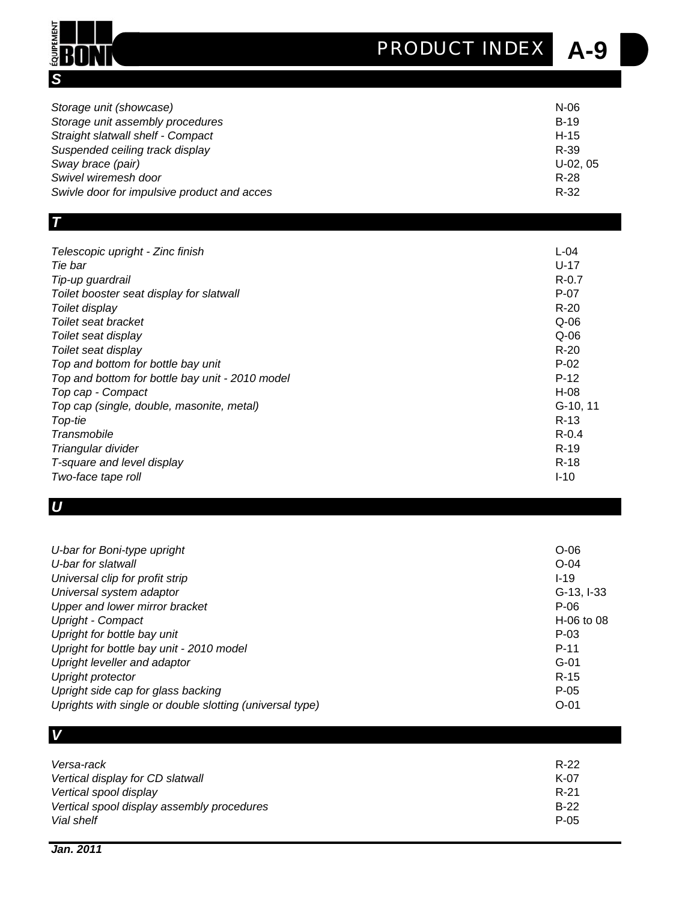## **A-9** *PRODUCT INDEX*



| Storage unit (showcase)                     | $N-06$    |
|---------------------------------------------|-----------|
| Storage unit assembly procedures            | $B-19$    |
| Straight slatwall shelf - Compact           | $H-15$    |
| Suspended ceiling track display             | R-39      |
| Sway brace (pair)                           | $U-02.05$ |
| Swivel wiremesh door                        | $R-28$    |
| Swivle door for impulsive product and acces | $R-32$    |

| ____<br>٦ |  |
|-----------|--|
|           |  |
|           |  |
|           |  |
|           |  |

| Telescopic upright - Zinc finish<br>$L - 04$<br>$U-17$<br>Tie bar<br>$R - 0.7$<br>Tip-up guardrail<br>$P-07$<br>Toilet booster seat display for slatwall<br>$R-20$<br>Toilet display<br>$Q-06$<br>Toilet seat bracket<br>$Q-06$<br>Toilet seat display<br>$R-20$<br>Toilet seat display<br>$P-02$<br>Top and bottom for bottle bay unit<br>$P-12$<br>Top and bottom for bottle bay unit - 2010 model<br>Top cap - Compact<br>H-08<br>Top cap (single, double, masonite, metal)<br>$R-13$<br>Top-tie<br>$R - 0.4$<br>Transmobile<br>$R-19$<br>Triangular divider<br>$R-18$<br>T-square and level display<br>$I-10$<br>Two-face tape roll |          |
|-----------------------------------------------------------------------------------------------------------------------------------------------------------------------------------------------------------------------------------------------------------------------------------------------------------------------------------------------------------------------------------------------------------------------------------------------------------------------------------------------------------------------------------------------------------------------------------------------------------------------------------------|----------|
|                                                                                                                                                                                                                                                                                                                                                                                                                                                                                                                                                                                                                                         |          |
|                                                                                                                                                                                                                                                                                                                                                                                                                                                                                                                                                                                                                                         |          |
|                                                                                                                                                                                                                                                                                                                                                                                                                                                                                                                                                                                                                                         |          |
|                                                                                                                                                                                                                                                                                                                                                                                                                                                                                                                                                                                                                                         |          |
|                                                                                                                                                                                                                                                                                                                                                                                                                                                                                                                                                                                                                                         |          |
|                                                                                                                                                                                                                                                                                                                                                                                                                                                                                                                                                                                                                                         |          |
|                                                                                                                                                                                                                                                                                                                                                                                                                                                                                                                                                                                                                                         |          |
|                                                                                                                                                                                                                                                                                                                                                                                                                                                                                                                                                                                                                                         |          |
|                                                                                                                                                                                                                                                                                                                                                                                                                                                                                                                                                                                                                                         |          |
|                                                                                                                                                                                                                                                                                                                                                                                                                                                                                                                                                                                                                                         |          |
|                                                                                                                                                                                                                                                                                                                                                                                                                                                                                                                                                                                                                                         |          |
|                                                                                                                                                                                                                                                                                                                                                                                                                                                                                                                                                                                                                                         | G-10, 11 |
|                                                                                                                                                                                                                                                                                                                                                                                                                                                                                                                                                                                                                                         |          |
|                                                                                                                                                                                                                                                                                                                                                                                                                                                                                                                                                                                                                                         |          |
|                                                                                                                                                                                                                                                                                                                                                                                                                                                                                                                                                                                                                                         |          |
|                                                                                                                                                                                                                                                                                                                                                                                                                                                                                                                                                                                                                                         |          |
|                                                                                                                                                                                                                                                                                                                                                                                                                                                                                                                                                                                                                                         |          |

### *U*

| $O-06$<br>U-bar for slatwall<br>$O-04$<br>Universal clip for profit strip<br>$I-19$<br>Universal system adaptor<br>$G-13, I-33$<br>Upper and lower mirror bracket<br>P-06<br>Upright - Compact<br>$H-06$ to 08<br>Upright for bottle bay unit<br>$P-03$<br>Upright for bottle bay unit - 2010 model<br>$P-11$<br>Upright leveller and adaptor<br>$G-01$<br>$R-15$<br>Upright protector<br>Upright side cap for glass backing<br>$P-05$<br>Uprights with single or double slotting (universal type)<br>$O - 01$ |                             |  |
|----------------------------------------------------------------------------------------------------------------------------------------------------------------------------------------------------------------------------------------------------------------------------------------------------------------------------------------------------------------------------------------------------------------------------------------------------------------------------------------------------------------|-----------------------------|--|
|                                                                                                                                                                                                                                                                                                                                                                                                                                                                                                                | U-bar for Boni-type upright |  |
|                                                                                                                                                                                                                                                                                                                                                                                                                                                                                                                |                             |  |
|                                                                                                                                                                                                                                                                                                                                                                                                                                                                                                                |                             |  |
|                                                                                                                                                                                                                                                                                                                                                                                                                                                                                                                |                             |  |
|                                                                                                                                                                                                                                                                                                                                                                                                                                                                                                                |                             |  |
|                                                                                                                                                                                                                                                                                                                                                                                                                                                                                                                |                             |  |
|                                                                                                                                                                                                                                                                                                                                                                                                                                                                                                                |                             |  |
|                                                                                                                                                                                                                                                                                                                                                                                                                                                                                                                |                             |  |
|                                                                                                                                                                                                                                                                                                                                                                                                                                                                                                                |                             |  |
|                                                                                                                                                                                                                                                                                                                                                                                                                                                                                                                |                             |  |
|                                                                                                                                                                                                                                                                                                                                                                                                                                                                                                                |                             |  |
|                                                                                                                                                                                                                                                                                                                                                                                                                                                                                                                |                             |  |

| V                                          |        |
|--------------------------------------------|--------|
|                                            |        |
| Versa-rack                                 | $R-22$ |
| Vertical display for CD slatwall           | $K-07$ |
| Vertical spool display                     | $R-21$ |
| Vertical spool display assembly procedures | $B-22$ |
| Vial shelf                                 | $P-05$ |